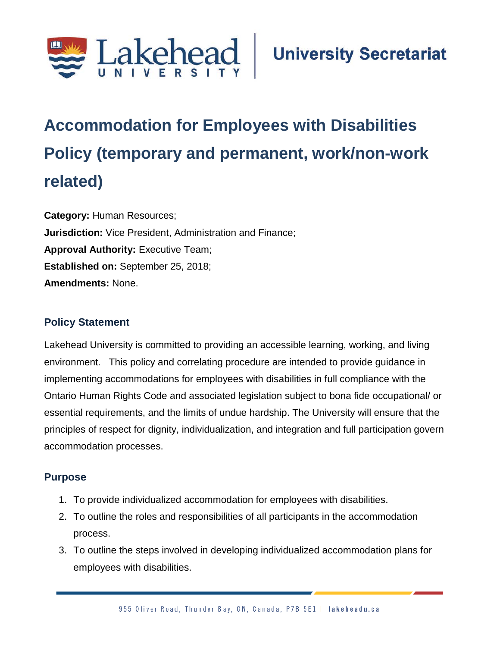

# **Accommodation for Employees with Disabilities Policy (temporary and permanent, work/non-work related)**

**Category:** Human Resources; **Jurisdiction:** Vice President, Administration and Finance; **Approval Authority: Executive Team; Established on:** September 25, 2018; **Amendments:** None.

#### **Policy Statement**

Lakehead University is committed to providing an accessible learning, working, and living environment. This policy and correlating procedure are intended to provide guidance in implementing accommodations for employees with disabilities in full compliance with the Ontario Human Rights Code and associated legislation subject to bona fide occupational/ or essential requirements, and the limits of undue hardship. The University will ensure that the principles of respect for dignity, individualization, and integration and full participation govern accommodation processes.

### **Purpose**

- 1. To provide individualized accommodation for employees with disabilities.
- 2. To outline the roles and responsibilities of all participants in the accommodation process.
- 3. To outline the steps involved in developing individualized accommodation plans for employees with disabilities.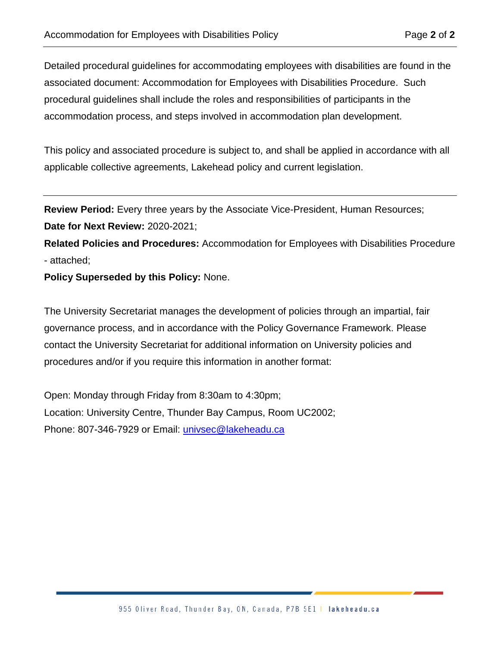Detailed procedural guidelines for accommodating employees with disabilities are found in the associated document: Accommodation for Employees with Disabilities Procedure. Such procedural guidelines shall include the roles and responsibilities of participants in the accommodation process, and steps involved in accommodation plan development.

This policy and associated procedure is subject to, and shall be applied in accordance with all applicable collective agreements, Lakehead policy and current legislation.

**Review Period:** Every three years by the Associate Vice-President, Human Resources;

**Date for Next Review:** 2020-2021;

**Related Policies and Procedures:** Accommodation for Employees with Disabilities Procedure - attached;

**Policy Superseded by this Policy:** None.

The University Secretariat manages the development of policies through an impartial, fair governance process, and in accordance with the Policy Governance Framework. Please contact the University Secretariat for additional information on University policies and procedures and/or if you require this information in another format:

Open: Monday through Friday from 8:30am to 4:30pm; Location: University Centre, Thunder Bay Campus, Room UC2002; Phone: 807-346-7929 or Email: [univsec@lakeheadu.ca](mailto:univsec@lakeheadu.ca)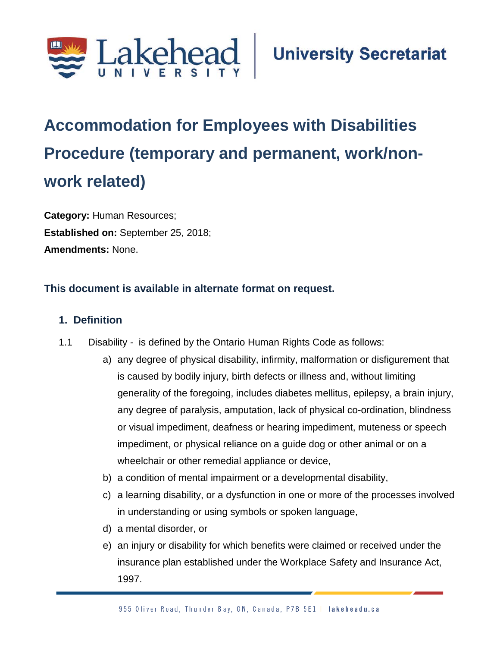

# **Accommodation for Employees with Disabilities Procedure (temporary and permanent, work/nonwork related);**

**Category:** Human Resources; **Established on:** September 25, 2018; **Amendments:** None.

#### **This document is available in alternate format on request.**

#### **1. Definition**

- 1.1 Disability *-* is defined by the Ontario Human Rights Code as follows:
	- a) any degree of physical disability, infirmity, malformation or disfigurement that is caused by bodily injury, birth defects or illness and, without limiting generality of the foregoing, includes diabetes mellitus, epilepsy, a brain injury, any degree of paralysis, amputation, lack of physical co-ordination, blindness or visual impediment, deafness or hearing impediment, muteness or speech impediment, or physical reliance on a guide dog or other animal or on a wheelchair or other remedial appliance or device,
	- b) a condition of mental impairment or a developmental disability,
	- c) a learning disability, or a dysfunction in one or more of the processes involved in understanding or using symbols or spoken language,
	- d) a mental disorder, or
	- e) an injury or disability for which benefits were claimed or received under the insurance plan established under the Workplace Safety and Insurance Act, 1997.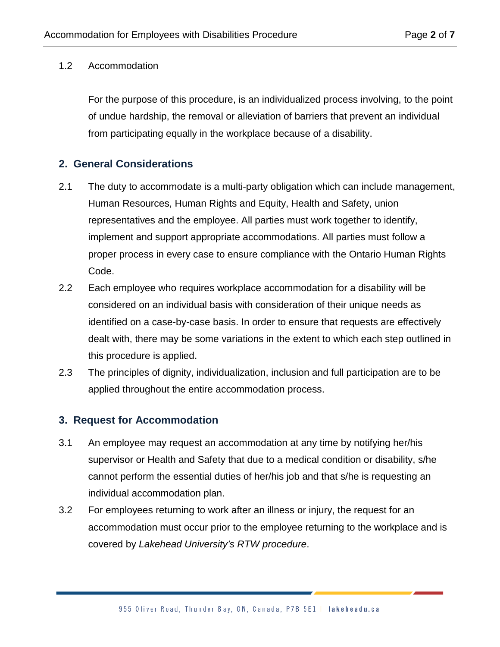#### 1.2 Accommodation

For the purpose of this procedure, is an individualized process involving, to the point of undue hardship, the removal or alleviation of barriers that prevent an individual from participating equally in the workplace because of a disability.

#### **2. General Considerations**

- 2.1 The duty to accommodate is a multi-party obligation which can include management, Human Resources, Human Rights and Equity, Health and Safety, union representatives and the employee. All parties must work together to identify, implement and support appropriate accommodations. All parties must follow a proper process in every case to ensure compliance with the Ontario Human Rights Code.
- 2.2 Each employee who requires workplace accommodation for a disability will be considered on an individual basis with consideration of their unique needs as identified on a case-by-case basis. In order to ensure that requests are effectively dealt with, there may be some variations in the extent to which each step outlined in this procedure is applied.
- 2.3 The principles of dignity, individualization, inclusion and full participation are to be applied throughout the entire accommodation process.

#### **3. Request for Accommodation**

- 3.1 An employee may request an accommodation at any time by notifying her/his supervisor or Health and Safety that due to a medical condition or disability, s/he cannot perform the essential duties of her/his job and that s/he is requesting an individual accommodation plan.
- 3.2 For employees returning to work after an illness or injury, the request for an accommodation must occur prior to the employee returning to the workplace and is covered by *Lakehead University's RTW procedure*.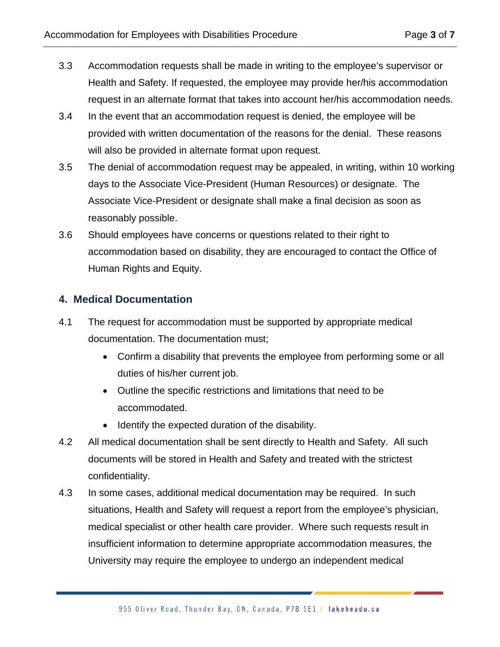- 3.3 Accommodation requests shall be made in writing to the employee's supervisor or Health and Safety. If requested, the employee may provide her/his accommodation request in an alternate format that takes into account her/his accommodation needs.
- 3.4 In the event that an accommodation request is denied, the employee will be provided with written documentation of the reasons for the denial. These reasons will also be provided in alternate format upon request.
- 3.5 The denial of accommodation request may be appealed, in writing, within 10 working days to the Associate Vice-President (Human Resources) or designate. The Associate Vice-President or designate shall make a final decision as soon as reasonably possible.
- 3.6 Should employees have concerns or questions related to their right to accommodation based on disability, they are encouraged to contact the Office of Human Rights and Equity.

#### **4. Medical Documentation**

- 4.1 The request for accommodation must be supported by appropriate medical documentation. The documentation must;
	- Confirm a disability that prevents the employee from performing some or all duties of his/her current job.
	- Outline the specific restrictions and limitations that need to be accommodated.
	- Identify the expected duration of the disability.
- 4.2 All medical documentation shall be sent directly to Health and Safety. All such documents will be stored in Health and Safety and treated with the strictest confidentiality.
- 4.3 In some cases, additional medical documentation may be required. In such situations, Health and Safety will request a report from the employee's physician, medical specialist or other health care provider. Where such requests result in insufficient information to determine appropriate accommodation measures, the University may require the employee to undergo an independent medical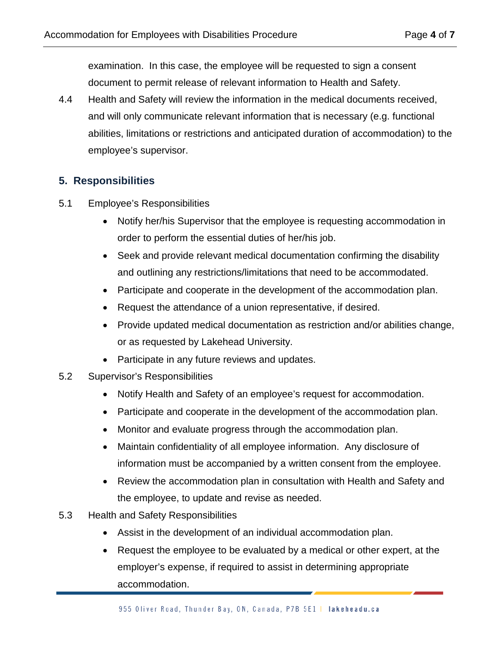examination. In this case, the employee will be requested to sign a consent document to permit release of relevant information to Health and Safety.

4.4 Health and Safety will review the information in the medical documents received, and will only communicate relevant information that is necessary (e.g. functional abilities, limitations or restrictions and anticipated duration of accommodation) to the employee's supervisor.

#### **5. Responsibilities**

- 5.1 Employee's Responsibilities
	- Notify her/his Supervisor that the employee is requesting accommodation in order to perform the essential duties of her/his job.
	- Seek and provide relevant medical documentation confirming the disability and outlining any restrictions/limitations that need to be accommodated.
	- Participate and cooperate in the development of the accommodation plan.
	- Request the attendance of a union representative, if desired.
	- Provide updated medical documentation as restriction and/or abilities change, or as requested by Lakehead University.
	- Participate in any future reviews and updates.
- 5.2 Supervisor's Responsibilities
	- Notify Health and Safety of an employee's request for accommodation.
	- Participate and cooperate in the development of the accommodation plan.
	- Monitor and evaluate progress through the accommodation plan.
	- Maintain confidentiality of all employee information. Any disclosure of information must be accompanied by a written consent from the employee.
	- Review the accommodation plan in consultation with Health and Safety and the employee, to update and revise as needed.
- 5.3 Health and Safety Responsibilities
	- Assist in the development of an individual accommodation plan.
	- Request the employee to be evaluated by a medical or other expert, at the employer's expense, if required to assist in determining appropriate accommodation.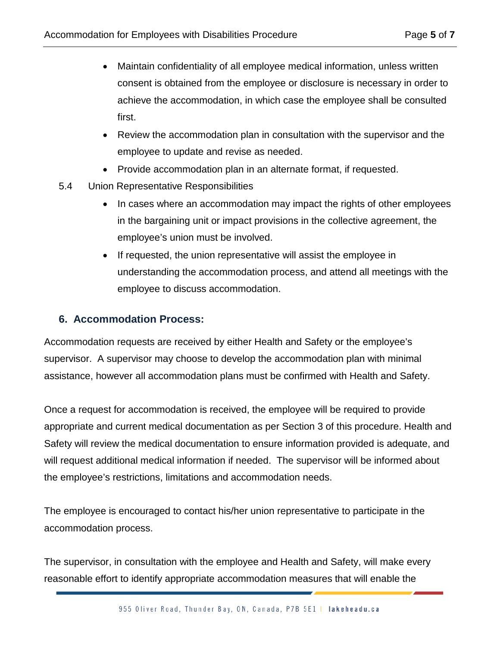- Maintain confidentiality of all employee medical information, unless written consent is obtained from the employee or disclosure is necessary in order to achieve the accommodation, in which case the employee shall be consulted first.
- Review the accommodation plan in consultation with the supervisor and the employee to update and revise as needed.
- Provide accommodation plan in an alternate format, if requested.
- 5.4 Union Representative Responsibilities
	- In cases where an accommodation may impact the rights of other employees in the bargaining unit or impact provisions in the collective agreement, the employee's union must be involved.
	- If requested, the union representative will assist the employee in understanding the accommodation process, and attend all meetings with the employee to discuss accommodation.

### **6. Accommodation Process:**

Accommodation requests are received by either Health and Safety or the employee's supervisor. A supervisor may choose to develop the accommodation plan with minimal assistance, however all accommodation plans must be confirmed with Health and Safety.

Once a request for accommodation is received, the employee will be required to provide appropriate and current medical documentation as per Section 3 of this procedure. Health and Safety will review the medical documentation to ensure information provided is adequate, and will request additional medical information if needed. The supervisor will be informed about the employee's restrictions, limitations and accommodation needs.

The employee is encouraged to contact his/her union representative to participate in the accommodation process.

The supervisor, in consultation with the employee and Health and Safety, will make every reasonable effort to identify appropriate accommodation measures that will enable the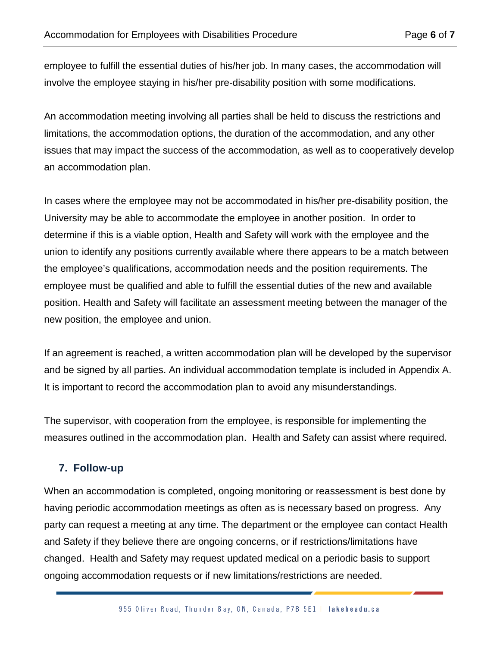employee to fulfill the essential duties of his/her job. In many cases, the accommodation will involve the employee staying in his/her pre-disability position with some modifications.

An accommodation meeting involving all parties shall be held to discuss the restrictions and limitations, the accommodation options, the duration of the accommodation, and any other issues that may impact the success of the accommodation, as well as to cooperatively develop an accommodation plan.

In cases where the employee may not be accommodated in his/her pre-disability position, the University may be able to accommodate the employee in another position. In order to determine if this is a viable option, Health and Safety will work with the employee and the union to identify any positions currently available where there appears to be a match between the employee's qualifications, accommodation needs and the position requirements. The employee must be qualified and able to fulfill the essential duties of the new and available position. Health and Safety will facilitate an assessment meeting between the manager of the new position, the employee and union.

If an agreement is reached, a written accommodation plan will be developed by the supervisor and be signed by all parties. An individual accommodation template is included in Appendix A. It is important to record the accommodation plan to avoid any misunderstandings.

The supervisor, with cooperation from the employee, is responsible for implementing the measures outlined in the accommodation plan. Health and Safety can assist where required.

### **7. Follow-up**

When an accommodation is completed, ongoing monitoring or reassessment is best done by having periodic accommodation meetings as often as is necessary based on progress. Any party can request a meeting at any time. The department or the employee can contact Health and Safety if they believe there are ongoing concerns, or if restrictions/limitations have changed. Health and Safety may request updated medical on a periodic basis to support ongoing accommodation requests or if new limitations/restrictions are needed.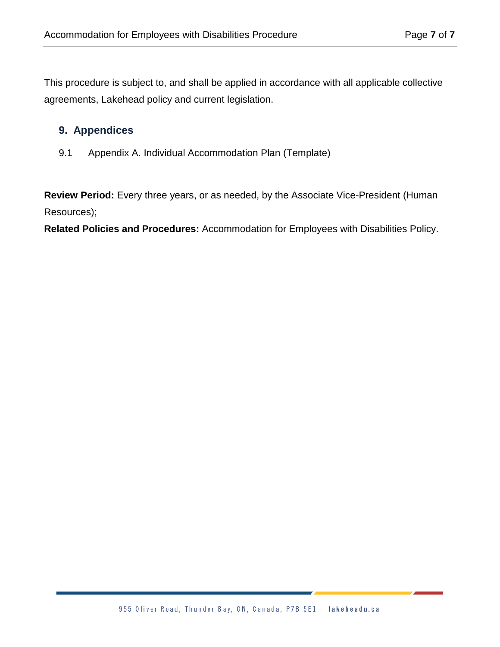This procedure is subject to, and shall be applied in accordance with all applicable collective agreements, Lakehead policy and current legislation.

#### **9. Appendices**

9.1 Appendix A. Individual Accommodation Plan (Template)

**Review Period:** Every three years, or as needed, by the Associate Vice-President (Human Resources);

**Related Policies and Procedures:** Accommodation for Employees with Disabilities Policy.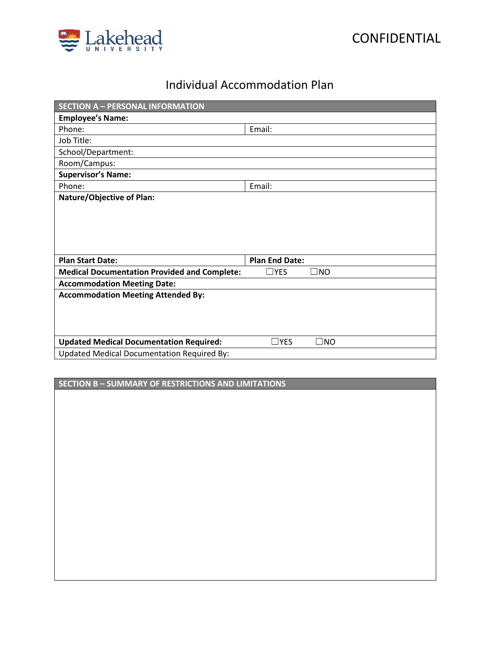



## Individual Accommodation Plan

| <b>SECTION A - PERSONAL INFORMATION</b>             |                               |
|-----------------------------------------------------|-------------------------------|
| <b>Employee's Name:</b>                             |                               |
| Phone:                                              | Email:                        |
| Job Title:                                          |                               |
| School/Department:                                  |                               |
| Room/Campus:                                        |                               |
| <b>Supervisor's Name:</b>                           |                               |
| Phone:                                              | Email:                        |
| <b>Nature/Objective of Plan:</b>                    |                               |
|                                                     |                               |
|                                                     |                               |
|                                                     |                               |
|                                                     |                               |
| <b>Plan Start Date:</b>                             | <b>Plan End Date:</b>         |
| <b>Medical Documentation Provided and Complete:</b> | $\square$ yes<br>$\square$ NO |
| <b>Accommodation Meeting Date:</b>                  |                               |
| <b>Accommodation Meeting Attended By:</b>           |                               |
|                                                     |                               |
|                                                     |                               |
|                                                     |                               |
|                                                     |                               |
| <b>Updated Medical Documentation Required:</b>      | $\Box$ YES<br>$\square$ NO    |
| <b>Updated Medical Documentation Required By:</b>   |                               |

**SECTION B – SUMMARY OF RESTRICTIONS AND LIMITATIONS**